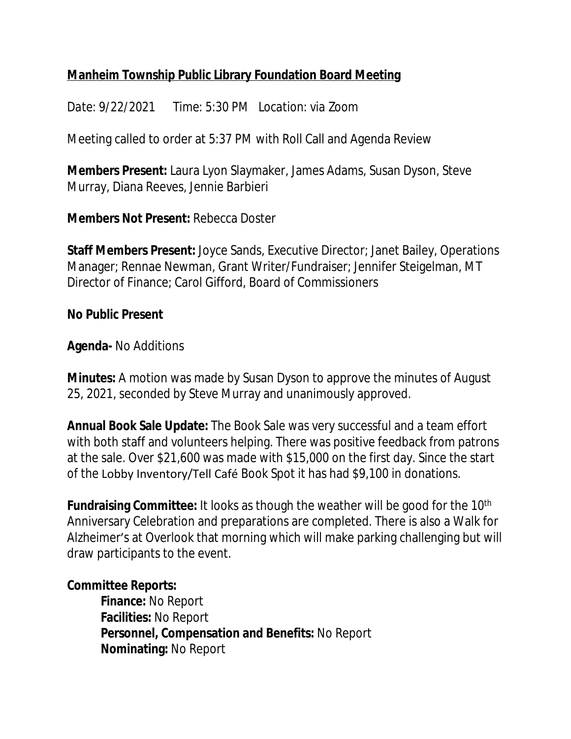# **Manheim Township Public Library Foundation Board Meeting**

*Date: 9/22/2021 Time: 5:30 PM Location: via Zoom*

Meeting called to order at 5:37 PM with Roll Call and Agenda Review

**Members Present:** Laura Lyon Slaymaker, James Adams, Susan Dyson, Steve Murray, Diana Reeves, Jennie Barbieri

**Members Not Present:** Rebecca Doster

**Staff Members Present:** Joyce Sands, Executive Director; Janet Bailey, Operations Manager; Rennae Newman, Grant Writer/Fundraiser; Jennifer Steigelman, MT Director of Finance; Carol Gifford, Board of Commissioners

**No Public Present**

**Agenda-** No Additions

**Minutes:** A motion was made by Susan Dyson to approve the minutes of August 25, 2021, seconded by Steve Murray and unanimously approved.

**Annual Book Sale Update:** The Book Sale was very successful and a team effort with both staff and volunteers helping. There was positive feedback from patrons at the sale. Over \$21,600 was made with \$15,000 on the first day. Since the start of the Lobby Inventory/Tell Café Book Spot it has had \$9,100 in donations.

**Fundraising Committee:** It looks as though the weather will be good for the 10<sup>th</sup> Anniversary Celebration and preparations are completed. There is also a Walk for Alzheimer's at Overlook that morning which will make parking challenging but will draw participants to the event.

### **Committee Reports:**

**Finance:** No Report **Facilities:** No Report **Personnel, Compensation and Benefits:** No Report **Nominating:** No Report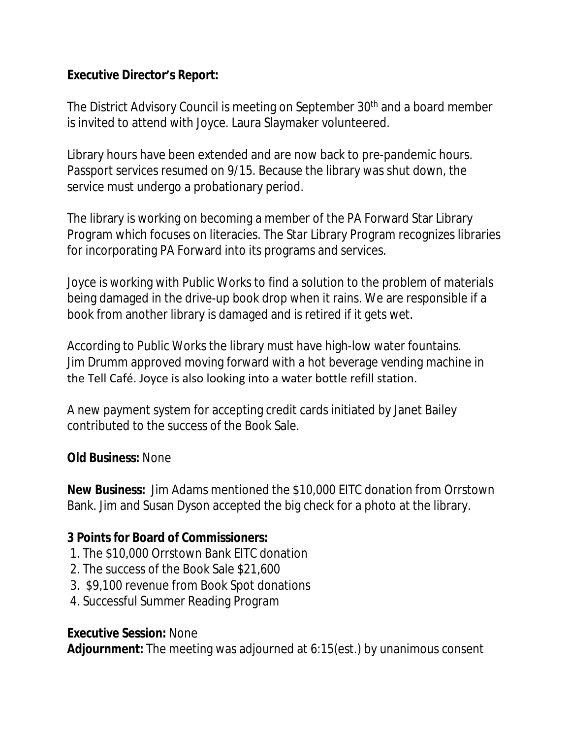## **Executive Director's Report:**

The District Advisory Council is meeting on September 30<sup>th</sup> and a board member is invited to attend with Joyce. Laura Slaymaker volunteered.

Library hours have been extended and are now back to pre-pandemic hours. Passport services resumed on 9/15. Because the library was shut down, the service must undergo a probationary period.

The library is working on becoming a member of the PA Forward Star Library Program which focuses on literacies. The Star Library Program recognizes libraries for incorporating PA Forward into its programs and services.

Joyce is working with Public Works to find a solution to the problem of materials being damaged in the drive-up book drop when it rains. We are responsible if a book from another library is damaged and is retired if it gets wet.

According to Public Works the library must have high-low water fountains. Jim Drumm approved moving forward with a hot beverage vending machine in the Tell Café. Joyce is also looking into a water bottle refill station.

A new payment system for accepting credit cards initiated by Janet Bailey contributed to the success of the Book Sale.

### **Old Business:** None

**New Business:** Jim Adams mentioned the \$10,000 EITC donation from Orrstown Bank. Jim and Susan Dyson accepted the big check for a photo at the library.

#### **3 Points for Board of Commissioners:**

- 1. The \$10,000 Orrstown Bank EITC donation
- 2. The success of the Book Sale \$21,600
- 3. \$9,100 revenue from Book Spot donations
- 4. Successful Summer Reading Program

### **Executive Session:** None

**Adjournment:** The meeting was adjourned at 6:15(est.) by unanimous consent